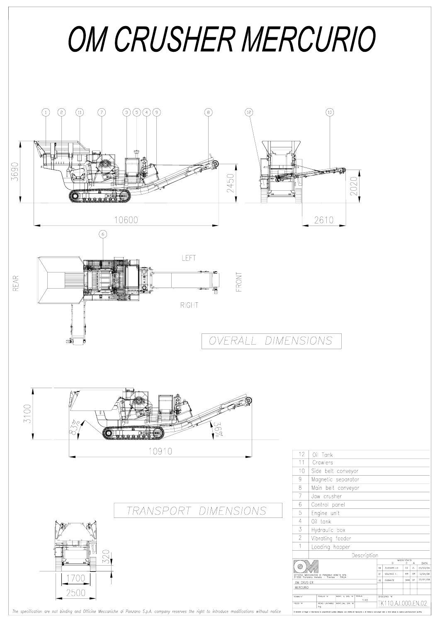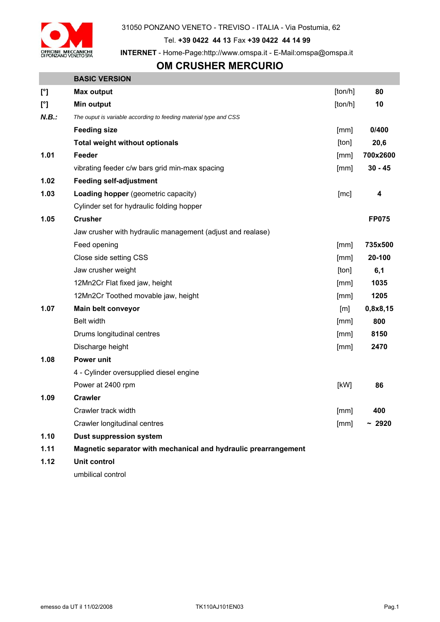

31050 PONZANO VENETO - TREVISO - ITALIA - Via Postumia, 62

Tel. **+39 0422 44 13** Fax **+39 0422 44 14 99** 

**INTERNET** - Home-Page:http://www.omspa.it - E-Mail:omspa@omspa.it

## **OM CRUSHER MERCURIO**

|              | <b>BASIC VERSION</b>                                             |                   |                         |
|--------------|------------------------------------------------------------------|-------------------|-------------------------|
| $[^{\circ}]$ | <b>Max output</b>                                                | [ton/h]           | 80                      |
| $[^{\circ}]$ | Min output                                                       | [ton/h]           | 10                      |
| N.B.:        | The ouput is variable according to feeding material type and CSS |                   |                         |
|              | <b>Feeding size</b>                                              | [mm]              | 0/400                   |
|              | <b>Total weight without optionals</b>                            | [ton]             | 20,6                    |
| 1.01         | Feeder                                                           | [mm]              | 700x2600                |
|              | vibrating feeder c/w bars grid min-max spacing                   | [mm]              | $30 - 45$               |
| 1.02         | <b>Feeding self-adjustment</b>                                   |                   |                         |
| 1.03         | Loading hopper (geometric capacity)                              | [mc]              | $\overline{\mathbf{4}}$ |
|              | Cylinder set for hydraulic folding hopper                        |                   |                         |
| 1.05         | <b>Crusher</b>                                                   |                   | <b>FP075</b>            |
|              | Jaw crusher with hydraulic management (adjust and realase)       |                   |                         |
|              | Feed opening                                                     | [mm]              | 735x500                 |
|              | Close side setting CSS                                           | [mm]              | 20-100                  |
|              | Jaw crusher weight                                               | [ton]             | 6,1                     |
|              | 12Mn2Cr Flat fixed jaw, height                                   | [mm]              | 1035                    |
|              | 12Mn2Cr Toothed movable jaw, height                              | [mm]              | 1205                    |
| 1.07         | Main belt conveyor                                               | $\lceil m \rceil$ | 0,8x8,15                |
|              | <b>Belt width</b>                                                | [mm]              | 800                     |
|              | Drums longitudinal centres                                       | [mm]              | 8150                    |
|              | Discharge height                                                 | [mm]              | 2470                    |
| 1.08         | Power unit                                                       |                   |                         |
|              | 4 - Cylinder oversupplied diesel engine                          |                   |                         |
|              | Power at 2400 rpm                                                | [kW]              | 86                      |
| 1.09         | <b>Crawler</b>                                                   |                   |                         |
|              | Crawler track width                                              | [mm]              | 400                     |
|              | Crawler longitudinal centres                                     | [mm]              | ~12920                  |
| 1.10         | <b>Dust suppression system</b>                                   |                   |                         |
| 1.11         | Magnetic separator with mechanical and hydraulic prearrangement  |                   |                         |
| 1.12         | <b>Unit control</b>                                              |                   |                         |
|              |                                                                  |                   |                         |

umbilical control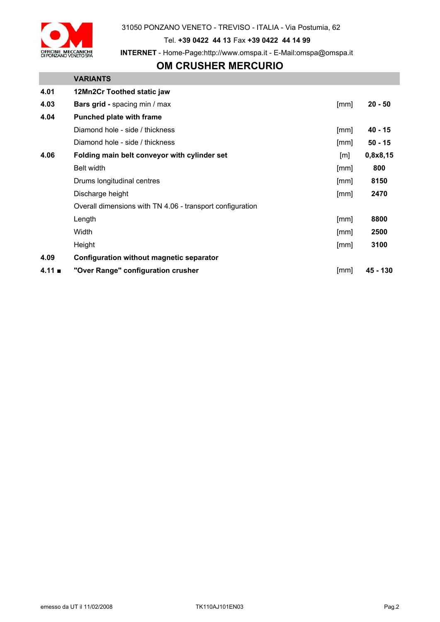

31050 PONZANO VENETO - TREVISO - ITALIA - Via Postumia, 62

Tel. **+39 0422 44 13** Fax **+39 0422 44 14 99** 

**INTERNET** - Home-Page:http://www.omspa.it - E-Mail:omspa@omspa.it

## **OM CRUSHER MERCURIO**

|                | <b>VARIANTS</b>                                           |      |           |
|----------------|-----------------------------------------------------------|------|-----------|
| 4.01           | 12Mn2Cr Toothed static jaw                                |      |           |
| 4.03           | Bars grid - spacing min / max                             | [mm] | $20 - 50$ |
| 4.04           | <b>Punched plate with frame</b>                           |      |           |
|                | Diamond hole - side / thickness                           | [mm] | 40 - 15   |
|                | Diamond hole - side / thickness                           | [mm] | $50 - 15$ |
| 4.06           | Folding main belt conveyor with cylinder set              | [m]  | 0,8x8,15  |
|                | <b>Belt width</b>                                         | [mm] | 800       |
|                | Drums longitudinal centres                                | [mm] | 8150      |
|                | Discharge height                                          | [mm] | 2470      |
|                | Overall dimensions with TN 4.06 - transport configuration |      |           |
|                | Length                                                    | [mm] | 8800      |
|                | Width                                                     | [mm] | 2500      |
|                | Height                                                    | [mm] | 3100      |
| 4.09           | Configuration without magnetic separator                  |      |           |
| $4.11 \bullet$ | "Over Range" configuration crusher                        | [mm] | 45 - 130  |